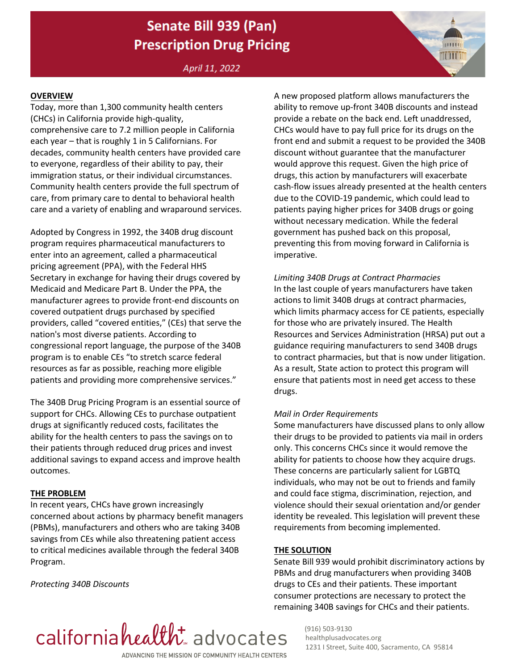# Senate Bill 939 (Pan) **Prescription Drug Pricing**

April 11, 2022

#### **OVERVIEW**

Today, more than 1,300 community health centers (CHCs) in California provide high-quality, comprehensive care to 7.2 million people in California each year – that is roughly 1 in 5 Californians. For decades, community health centers have provided care to everyone, regardless of their ability to pay, their immigration status, or their individual circumstances. Community health centers provide the full spectrum of care, from primary care to dental to behavioral health care and a variety of enabling and wraparound services.

Adopted by Congress in 1992, the 340B drug discount program requires pharmaceutical manufacturers to enter into an agreement, called a pharmaceutical pricing agreement (PPA), with the Federal HHS Secretary in exchange for having their drugs covered by Medicaid and Medicare Part B. Under the PPA, the manufacturer agrees to provide front-end discounts on covered outpatient drugs purchased by specified providers, called "covered entities," (CEs) that serve the nation's most diverse patients. According to congressional report language, the purpose of the 340B program is to enable CEs "to stretch scarce federal resources as far as possible, reaching more eligible patients and providing more comprehensive services."

The 340B Drug Pricing Program is an essential source of support for CHCs. Allowing CEs to purchase outpatient drugs at significantly reduced costs, facilitates the ability for the health centers to pass the savings on to their patients through reduced drug prices and invest additional savings to expand access and improve health outcomes.

#### **THE PROBLEM**

In recent years, CHCs have grown increasingly concerned about actions by pharmacy benefit managers (PBMs), manufacturers and others who are taking 340B savings from CEs while also threatening patient access to critical medicines available through the federal 340B Program.

*Protecting 340B Discounts*

A new proposed platform allows manufacturers the ability to remove up-front 340B discounts and instead provide a rebate on the back end. Left unaddressed, CHCs would have to pay full price for its drugs on the front end and submit a request to be provided the 340B discount without guarantee that the manufacturer would approve this request. Given the high price of drugs, this action by manufacturers will exacerbate cash-flow issues already presented at the health centers due to the COVID-19 pandemic, which could lead to patients paying higher prices for 340B drugs or going without necessary medication. While the federal government has pushed back on this proposal, preventing this from moving forward in California is imperative.

man

## *Limiting 340B Drugs at Contract Pharmacies*  In the last couple of years manufacturers have taken actions to limit 340B drugs at contract pharmacies, which limits pharmacy access for CE patients, especially

for those who are privately insured. The Health Resources and Services Administration (HRSA) put out a guidance requiring manufacturers to send 340B drugs to contract pharmacies, but that is now under litigation. As a result, State action to protect this program will ensure that patients most in need get access to these drugs.

#### *Mail in Order Requirements*

Some manufacturers have discussed plans to only allow their drugs to be provided to patients via mail in orders only. This concerns CHCs since it would remove the ability for patients to choose how they acquire drugs. These concerns are particularly salient for LGBTQ individuals, who may not be out to friends and family and could face stigma, discrimination, rejection, and violence should their sexual orientation and/or gender identity be revealed. This legislation will prevent these requirements from becoming implemented.

#### **THE SOLUTION**

Senate Bill 939 would prohibit discriminatory actions by PBMs and drug manufacturers when providing 340B drugs to CEs and their patients. These important consumer protections are necessary to protect the remaining 340B savings for CHCs and their patients.



(916) 503-9130 healthplusadvocates.org 1231 I Street, Suite 400, Sacramento, CA 95814

ADVANCING THE MISSION OF COMMUNITY HEALTH CENTERS